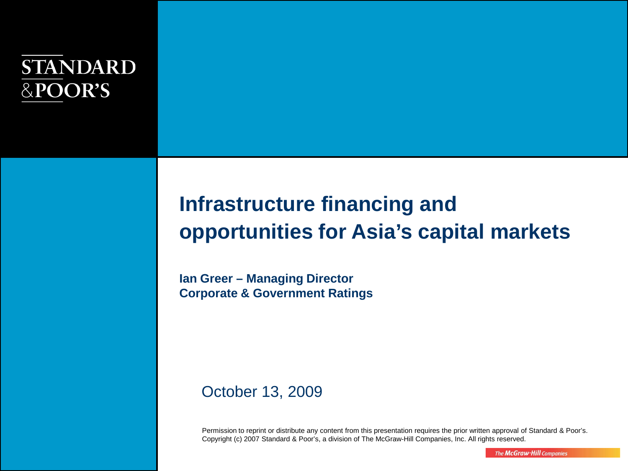# **STANDARD** &POOR'S

# **Infrastructure financing and opportunities for Asia's capital markets**

**Ian Greer – Managing Director Corporate & Government Ratings**

#### October 13, 2009

Permission to reprint or distribute any content from this presentation requires the prior written approval of Standard & Poor's. Copyright (c) 2007 Standard & Poor's, a division of The McGraw-Hill Companies, Inc. All rights reserved.

The McGraw-Hill Companies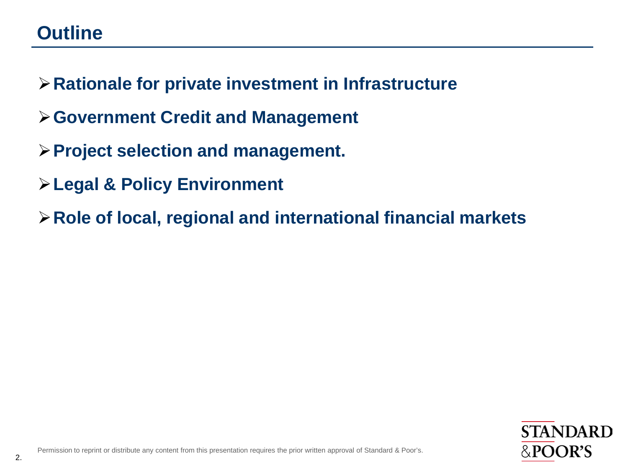# **Outline**

- **Rationale for private investment in Infrastructure**
- **Government Credit and Management**
- **Project selection and management.**
- **Legal & Policy Environment**
- **Role of local, regional and international financial markets**

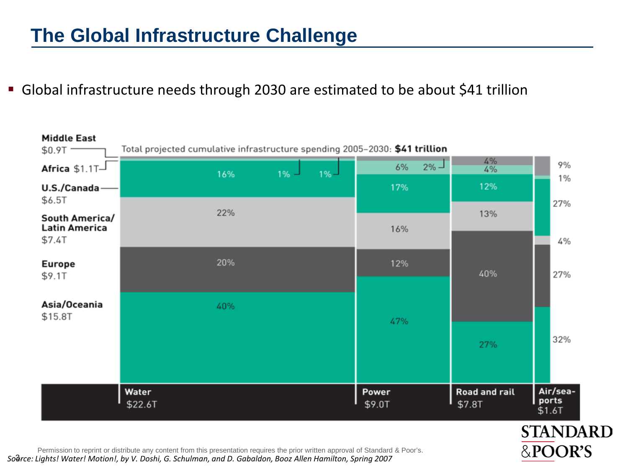## **The Global Infrastructure Challenge**

Global infrastructure needs through 2030 are estimated to be about \$41 trillion



Permission to reprint or distribute any content from this presentation requires the prior written approval of Standard & Poor's.<br>Soerce: Lights! Water! Motion!, by V. Doshi, G. Schulman, and D. Gabaldon, Booz Allen Hamilto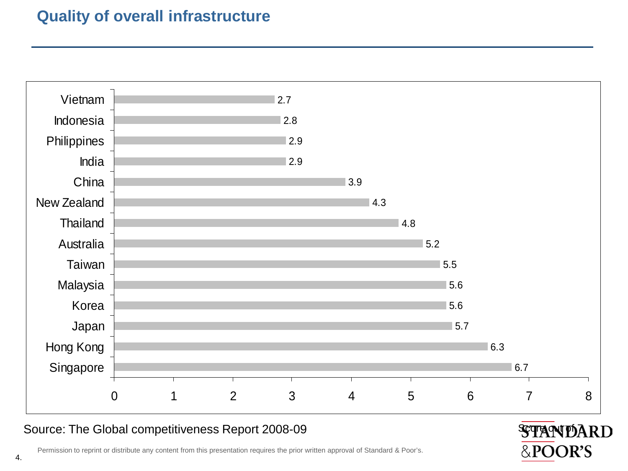#### **Quality of overall infrastructure**



#### Source: The Global competitiveness Report 2008-09 Source: The Global competitiveness Report 2008-09



4. Permission to reprint or distribute any content from this presentation requires the prior written approval of Standard & Poor's.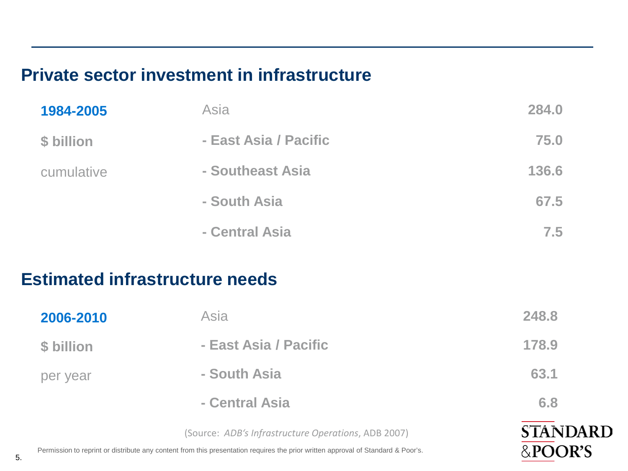#### **Private sector investment in infrastructure**

| 1984-2005  | Asia                  | 284.0 |
|------------|-----------------------|-------|
| \$ billion | - East Asia / Pacific | 75.0  |
| cumulative | - Southeast Asia      | 136.6 |
|            | - South Asia          | 67.5  |
|            | - Central Asia        | 7.5   |
|            |                       |       |

#### **Estimated infrastructure needs**

| 2006-2010  | Asia                                                | 248.8           |
|------------|-----------------------------------------------------|-----------------|
| \$ billion | - East Asia / Pacific                               | 178.9           |
| per year   | - South Asia                                        | 63.1            |
|            | - Central Asia                                      | 6.8             |
|            | (Source: ADB's Infrastructure Operations, ADB 2007) | <b>STANDARD</b> |

&POOR'S

5. Permission to reprint or distribute any content from this presentation requires the prior written approval of Standard & Poor's.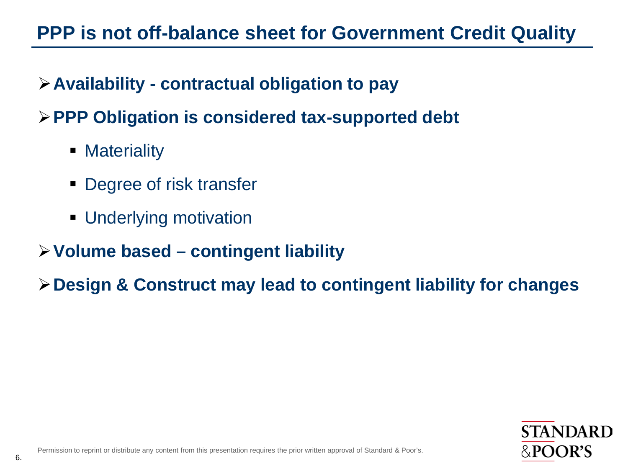# **PPP is not off-balance sheet for Government Credit Quality**

## **Availability - contractual obligation to pay**

## **PPP Obligation is considered tax-supported debt**

- Materiality
- Degree of risk transfer
- **Underlying motivation**
- **Volume based – contingent liability**

**Design & Construct may lead to contingent liability for changes**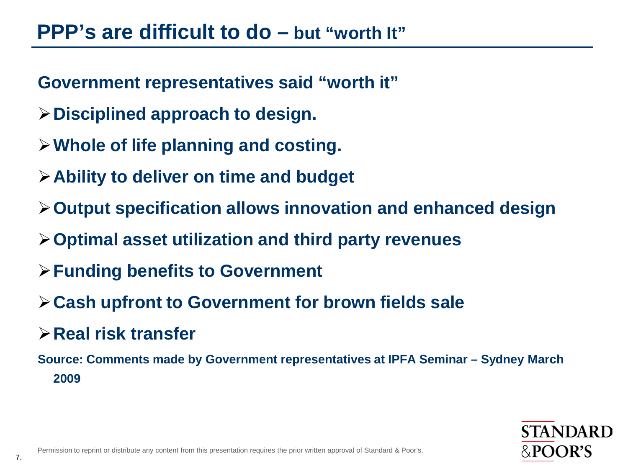# **PPP's are difficult to do – but "worth It"**

**Government representatives said "worth it"** 

- **Disciplined approach to design.**
- **Whole of life planning and costing.**
- **Ability to deliver on time and budget**
- **Output specification allows innovation and enhanced design**
- **Optimal asset utilization and third party revenues**
- **Funding benefits to Government**
- **Cash upfront to Government for brown fields sale**
- **Real risk transfer**

**Source: Comments made by Government representatives at IPFA Seminar – Sydney March 2009**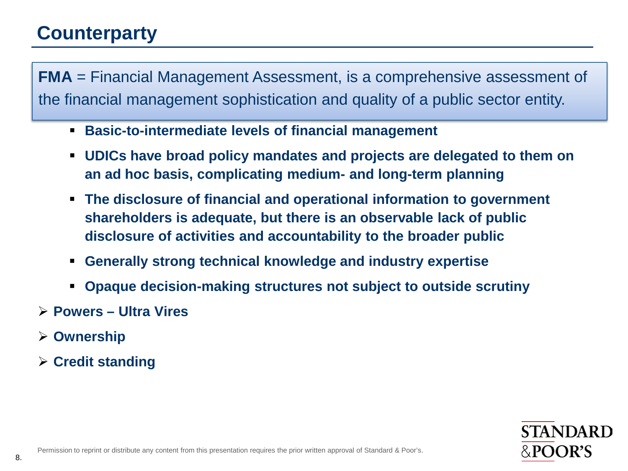# **Counterparty**

**FMA** = Financial Management Assessment, is a comprehensive assessment of the financial management sophistication and quality of a public sector entity.

- **Basic-to-intermediate levels of financial management**
- **UDICs have broad policy mandates and projects are delegated to them on an ad hoc basis, complicating medium- and long-term planning**
- **The disclosure of financial and operational information to government shareholders is adequate, but there is an observable lack of public disclosure of activities and accountability to the broader public**
- **Generally strong technical knowledge and industry expertise**
- **Opaque decision-making structures not subject to outside scrutiny**
- **Powers – Ultra Vires**
- **Ownership**
- **Credit standing**

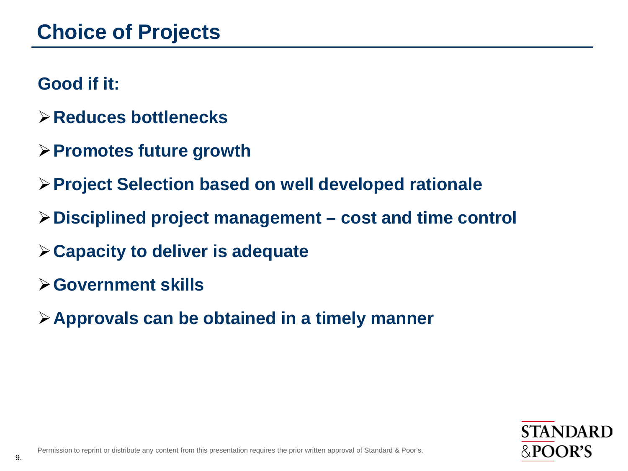#### **Good if it:**

- **Reduces bottlenecks**
- **Promotes future growth**
- **Project Selection based on well developed rationale**
- **Disciplined project management – cost and time control**
- **Capacity to deliver is adequate**
- **Government skills**
- **Approvals can be obtained in a timely manner**

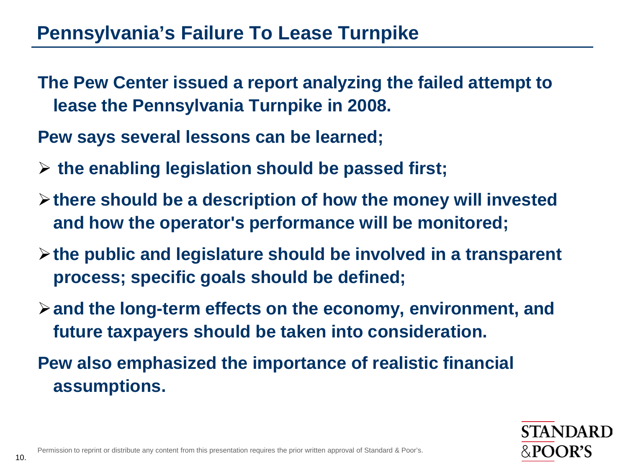## **Pennsylvania's Failure To Lease Turnpike**

- **The Pew Center issued a report analyzing the failed attempt to lease the Pennsylvania Turnpike in 2008.**
- **Pew says several lessons can be learned;**
- **the enabling legislation should be passed first;**
- **there should be a description of how the money will invested and how the operator's performance will be monitored;**
- **the public and legislature should be involved in a transparent process; specific goals should be defined;**
- **and the long-term effects on the economy, environment, and future taxpayers should be taken into consideration.**
- **Pew also emphasized the importance of realistic financial assumptions.**

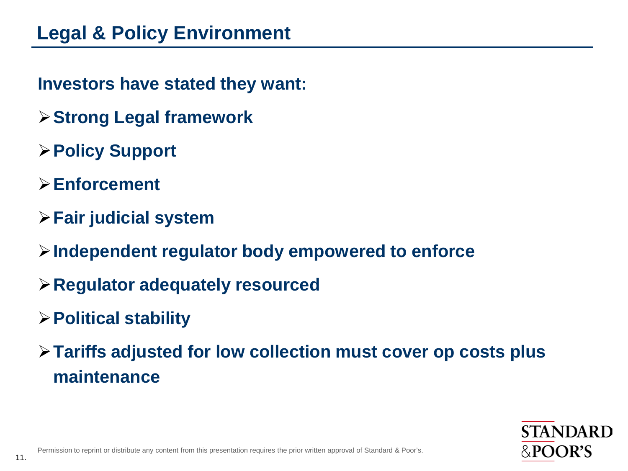- **Investors have stated they want:**
- **Strong Legal framework**
- **Policy Support**
- **Enforcement**
- **Fair judicial system**
- **Independent regulator body empowered to enforce**
- **Regulator adequately resourced**
- **Political stability**
- **Tariffs adjusted for low collection must cover op costs plus maintenance**

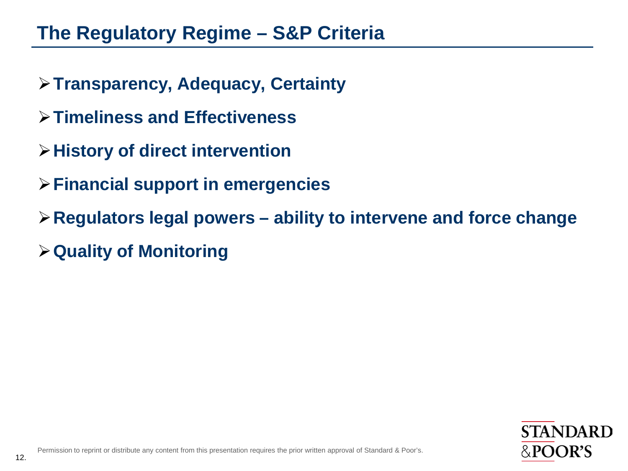# **The Regulatory Regime – S&P Criteria**

- **Transparency, Adequacy, Certainty**
- **Timeliness and Effectiveness**
- **History of direct intervention**
- **Financial support in emergencies**
- **Regulators legal powers – ability to intervene and force change**
- **Quality of Monitoring**

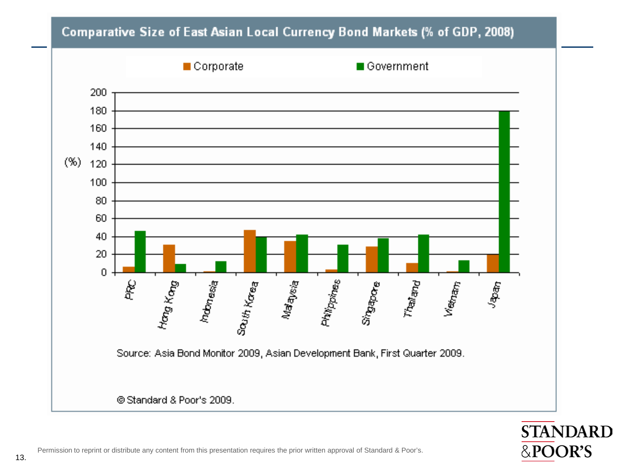#### Comparative Size of East Asian Local Currency Bond Markets (% of GDP, 2008)



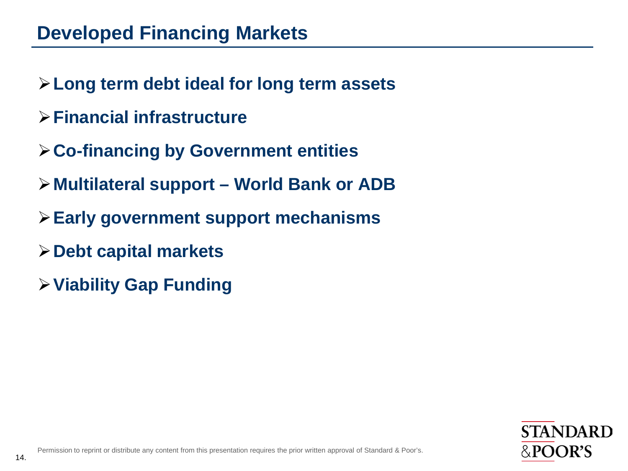- **Long term debt ideal for long term assets**
- **Financial infrastructure**
- **Co-financing by Government entities**
- **Multilateral support – World Bank or ADB**
- **Early government support mechanisms**
- **Debt capital markets**
- **Viability Gap Funding**